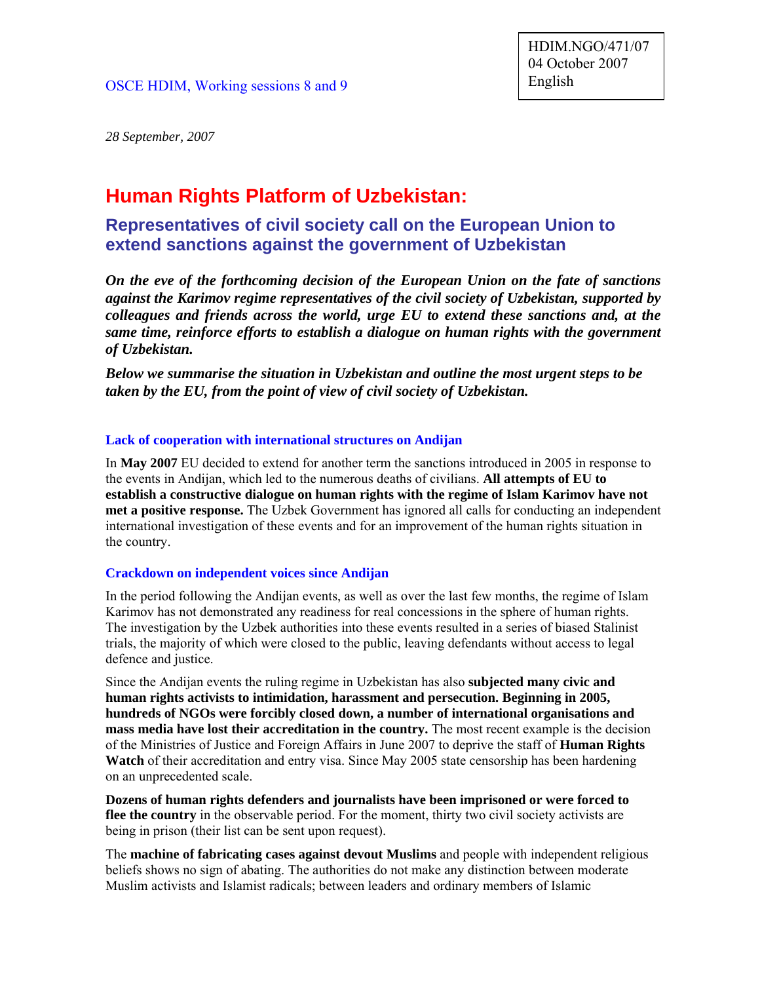*28 September, 2007*

# **Human Rights Platform of Uzbekistan:**

# **Representatives of civil society call on the European Union to extend sanctions against the government of Uzbekistan**

*On the eve of the forthcoming decision of the European Union on the fate of sanctions against the Karimov regime representatives of the civil society of Uzbekistan, supported by colleagues and friends across the world, urge EU to extend these sanctions and, at the same time, reinforce efforts to establish a dialogue on human rights with the government of Uzbekistan.* 

*Below we summarise the situation in Uzbekistan and outline the most urgent steps to be taken by the EU, from the point of view of civil society of Uzbekistan.*

#### **Lack of cooperation with international structures on Andijan**

In **May 2007** EU decided to extend for another term the sanctions introduced in 2005 in response to the events in Andijan, which led to the numerous deaths of civilians. **All attempts of EU to establish a constructive dialogue on human rights with the regime of Islam Karimov have not met a positive response.** The Uzbek Government has ignored all calls for conducting an independent international investigation of these events and for an improvement of the human rights situation in the country.

#### **Crackdown on independent voices since Andijan**

In the period following the Andijan events, as well as over the last few months, the regime of Islam Karimov has not demonstrated any readiness for real concessions in the sphere of human rights. The investigation by the Uzbek authorities into these events resulted in a series of biased Stalinist trials, the majority of which were closed to the public, leaving defendants without access to legal defence and justice.

Since the Andijan events the ruling regime in Uzbekistan has also **subjected many civic and human rights activists to intimidation, harassment and persecution. Beginning in 2005, hundreds of NGOs were forcibly closed down, a number of international organisations and mass media have lost their accreditation in the country.** The most recent example is the decision of the Ministries of Justice and Foreign Affairs in June 2007 to deprive the staff of **Human Rights Watch** of their accreditation and entry visa. Since May 2005 state censorship has been hardening on an unprecedented scale.

**Dozens of human rights defenders and journalists have been imprisoned or were forced to flee the country** in the observable period. For the moment, thirty two civil society activists are being in prison (their list can be sent upon request).

The **machine of fabricating cases against devout Muslims** and people with independent religious beliefs shows no sign of abating. The authorities do not make any distinction between moderate Muslim activists and Islamist radicals; between leaders and ordinary members of Islamic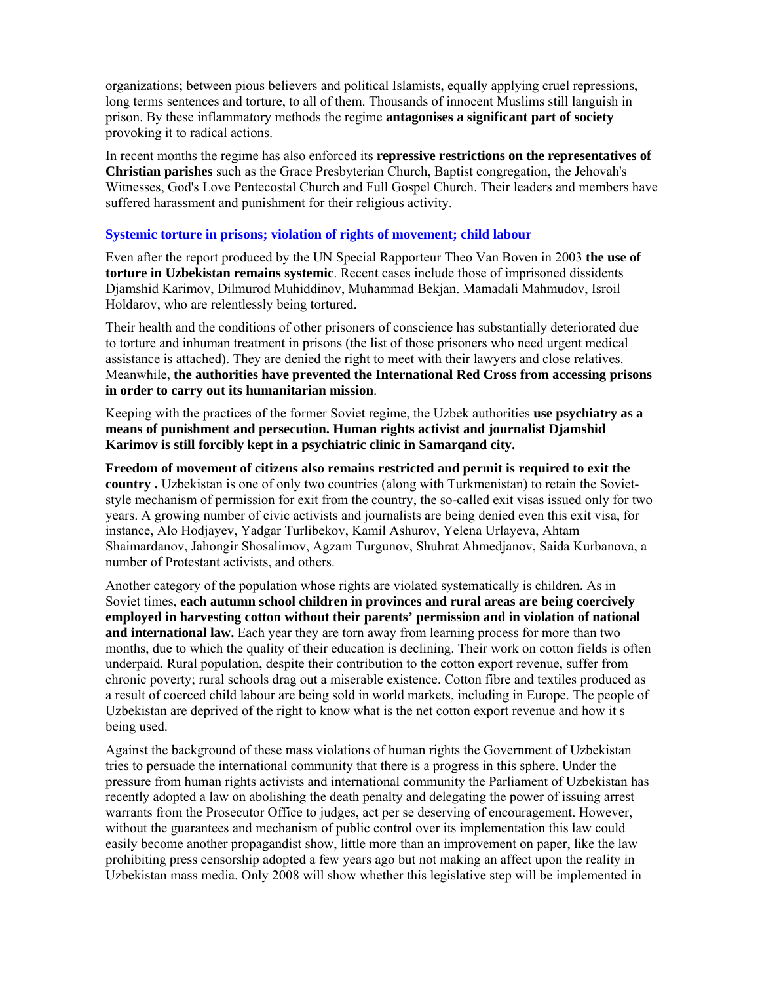organizations; between pious believers and political Islamists, equally applying cruel repressions, long terms sentences and torture, to all of them. Thousands of innocent Muslims still languish in prison. By these inflammatory methods the regime **antagonises a significant part of society** provoking it to radical actions.

In recent months the regime has also enforced its **repressive restrictions on the representatives of Christian parishes** such as the Grace Presbyterian Church, Baptist congregation, the Jehovah's Witnesses, God's Love Pentecostal Church and Full Gospel Church. Their leaders and members have suffered harassment and punishment for their religious activity.

# **Systemic torture in prisons; violation of rights of movement; child labour**

Even after the report produced by the UN Special Rapporteur Theo Van Boven in 2003 **the use of torture in Uzbekistan remains systemic**. Recent cases include those of imprisoned dissidents Djamshid Karimov, Dilmurod Muhiddinov, Muhammad Bekjan. Mamadali Mahmudov, Isroil Holdarov, who are relentlessly being tortured.

Their health and the conditions of other prisoners of conscience has substantially deteriorated due to torture and inhuman treatment in prisons (the list of those prisoners who need urgent medical assistance is attached). They are denied the right to meet with their lawyers and close relatives. Meanwhile, **the authorities have prevented the International Red Cross from accessing prisons in order to carry out its humanitarian mission**.

Keeping with the practices of the former Soviet regime, the Uzbek authorities **use psychiatry as a means of punishment and persecution. Human rights activist and journalist Djamshid Karimov is still forcibly kept in a psychiatric clinic in Samarqand city.**

**Freedom of movement of citizens also remains restricted and permit is required to exit the country .** Uzbekistan is one of only two countries (along with Turkmenistan) to retain the Sovietstyle mechanism of permission for exit from the country, the so-called exit visas issued only for two years. A growing number of civic activists and journalists are being denied even this exit visa, for instance, Alo Hodjayev, Yadgar Turlibekov, Kamil Ashurov, Yelena Urlayeva, Ahtam Shaimardanov, Jahongir Shosalimov, Agzam Turgunov, Shuhrat Ahmedjanov, Saida Kurbanova, a number of Protestant activists, and others.

Another category of the population whose rights are violated systematically is children. As in Soviet times, **each autumn school children in provinces and rural areas are being coercively employed in harvesting cotton without their parents' permission and in violation of national and international law.** Each year they are torn away from learning process for more than two months, due to which the quality of their education is declining. Their work on cotton fields is often underpaid. Rural population, despite their contribution to the cotton export revenue, suffer from chronic poverty; rural schools drag out a miserable existence. Cotton fibre and textiles produced as a result of coerced child labour are being sold in world markets, including in Europe. The people of Uzbekistan are deprived of the right to know what is the net cotton export revenue and how it s being used.

Against the background of these mass violations of human rights the Government of Uzbekistan tries to persuade the international community that there is a progress in this sphere. Under the pressure from human rights activists and international community the Parliament of Uzbekistan has recently adopted a law on abolishing the death penalty and delegating the power of issuing arrest warrants from the Prosecutor Office to judges, act per se deserving of encouragement. However, without the guarantees and mechanism of public control over its implementation this law could easily become another propagandist show, little more than an improvement on paper, like the law prohibiting press censorship adopted a few years ago but not making an affect upon the reality in Uzbekistan mass media. Only 2008 will show whether this legislative step will be implemented in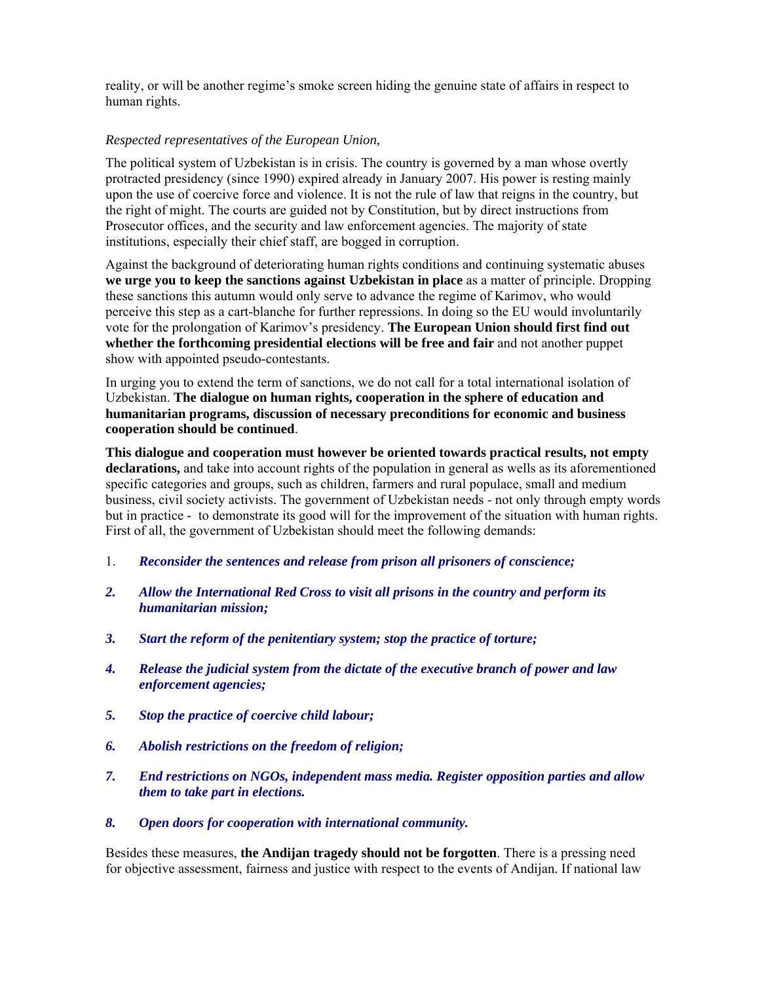reality, or will be another regime's smoke screen hiding the genuine state of affairs in respect to human rights.

# *Respected representatives of the European Union,*

The political system of Uzbekistan is in crisis. The country is governed by a man whose overtly protracted presidency (since 1990) expired already in January 2007. His power is resting mainly upon the use of coercive force and violence. It is not the rule of law that reigns in the country, but the right of might. The courts are guided not by Constitution, but by direct instructions from Prosecutor offices, and the security and law enforcement agencies. The majority of state institutions, especially their chief staff, are bogged in corruption.

Against the background of deteriorating human rights conditions and continuing systematic abuses **we urge you to keep the sanctions against Uzbekistan in place** as a matter of principle. Dropping these sanctions this autumn would only serve to advance the regime of Karimov, who would perceive this step as a cart-blanche for further repressions. In doing so the EU would involuntarily vote for the prolongation of Karimov's presidency. **The European Union should first find out whether the forthcoming presidential elections will be free and fair** and not another puppet show with appointed pseudo-contestants.

In urging you to extend the term of sanctions, we do not call for a total international isolation of Uzbekistan. **The dialogue on human rights, cooperation in the sphere of education and humanitarian programs, discussion of necessary preconditions for economic and business cooperation should be continued**.

**This dialogue and cooperation must however be oriented towards practical results, not empty declarations,** and take into account rights of the population in general as wells as its aforementioned specific categories and groups, such as children, farmers and rural populace, small and medium business, civil society activists. The government of Uzbekistan needs - not only through empty words but in practice - to demonstrate its good will for the improvement of the situation with human rights. First of all, the government of Uzbekistan should meet the following demands:

- 1. *Reconsider the sentences and release from prison all prisoners of conscience;*
- *2. Allow the International Red Cross to visit all prisons in the country and perform its humanitarian mission;*
- *3. Start the reform of the penitentiary system; stop the practice of torture;*
- *4. Release the judicial system from the dictate of the executive branch of power and law enforcement agencies;*
- *5. Stop the practice of coercive child labour;*
- *6. Abolish restrictions on the freedom of religion;*
- *7. End restrictions on NGOs, independent mass media. Register opposition parties and allow them to take part in elections.*
- *8. Open doors for cooperation with international community.*

Besides these measures, **the Andijan tragedy should not be forgotten**. There is a pressing need for objective assessment, fairness and justice with respect to the events of Andijan. If national law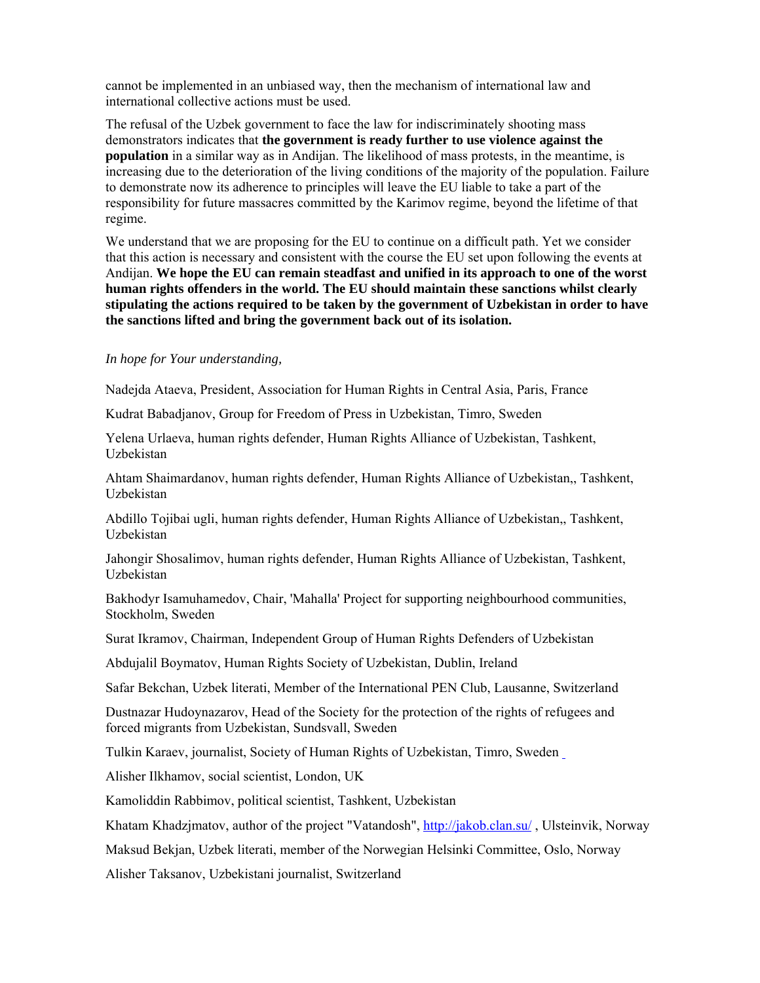cannot be implemented in an unbiased way, then the mechanism of international law and international collective actions must be used.

The refusal of the Uzbek government to face the law for indiscriminately shooting mass demonstrators indicates that **the government is ready further to use violence against the population** in a similar way as in Andijan. The likelihood of mass protests, in the meantime, is increasing due to the deterioration of the living conditions of the majority of the population. Failure to demonstrate now its adherence to principles will leave the EU liable to take a part of the responsibility for future massacres committed by the Karimov regime, beyond the lifetime of that regime.

We understand that we are proposing for the EU to continue on a difficult path. Yet we consider that this action is necessary and consistent with the course the EU set upon following the events at Andijan. **We hope the EU can remain steadfast and unified in its approach to one of the worst human rights offenders in the world. The EU should maintain these sanctions whilst clearly stipulating the actions required to be taken by the government of Uzbekistan in order to have the sanctions lifted and bring the government back out of its isolation.**

#### *In hope for Your understanding,*

Nadejda Ataeva, President, Association for Human Rights in Central Asia, Paris, France

Kudrat Babadjanov, Group for Freedom of Press in Uzbekistan, Timro, Sweden

Yelena Urlaeva, human rights defender, Human Rights Alliance of Uzbekistan, Tashkent, Uzbekistan

Ahtam Shaimardanov, human rights defender, Human Rights Alliance of Uzbekistan,, Tashkent, Uzbekistan

Abdillo Tojibai ugli, human rights defender, Human Rights Alliance of Uzbekistan,, Tashkent, Uzbekistan

Jahongir Shosalimov, human rights defender, Human Rights Alliance of Uzbekistan, Tashkent, Uzbekistan

Bakhodyr Isamuhamedov, Chair, 'Mahalla' Project for supporting neighbourhood communities, Stockholm, Sweden

Surat Ikramov, Chairman, Independent Group of Human Rights Defenders of Uzbekistan

Abdujalil Boymatov, Human Rights Society of Uzbekistan, Dublin, Ireland

Safar Bekchan, Uzbek literati, Member of the International PEN Club, Lausanne, Switzerland

Dustnazar Hudoynazarov, Head of the Society for the protection of the rights of refugees and forced migrants from Uzbekistan, Sundsvall, Sweden

Tulkin Karaev, journalist, Society of Human Rights of Uzbekistan, Timro, Sweden

Alisher Ilkhamov, social scientist, London, UK

Kamoliddin Rabbimov, political scientist, Tashkent, Uzbekistan

Khatam Khadzjmatov, author of the project "Vatandosh",<http://jakob.clan.su/>, Ulsteinvik, Norway

Maksud Bekjan, Uzbek literati, member of the Norwegian Helsinki Committee, Oslo, Norway

Alisher Taksanov, Uzbekistani journalist, Switzerland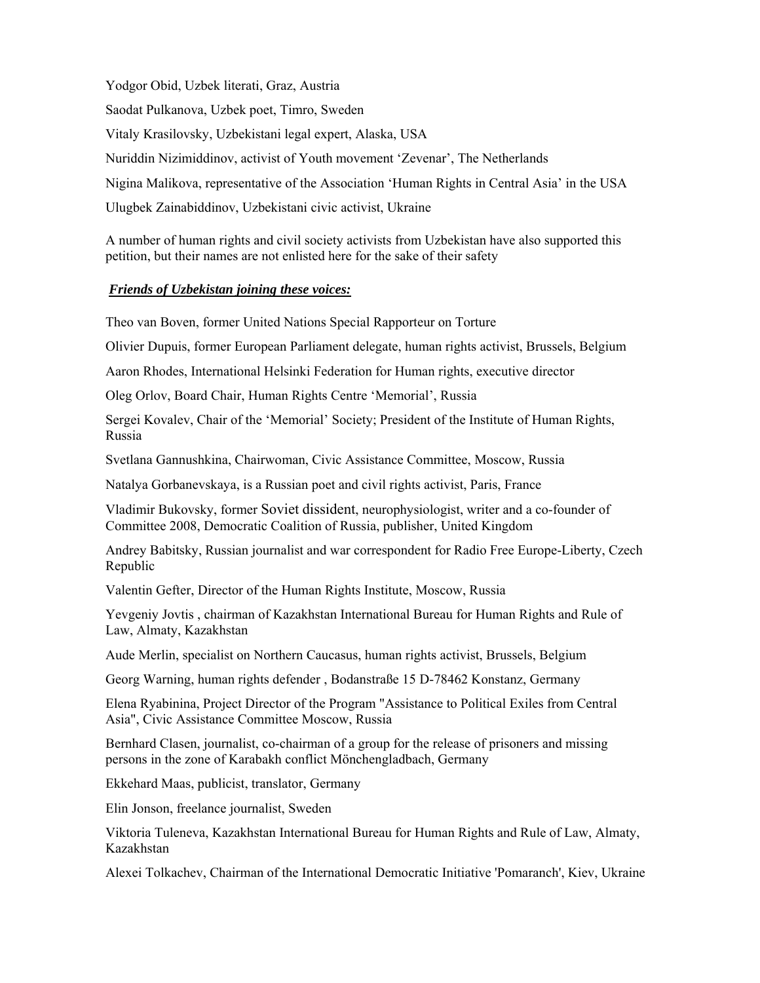Yodgor Obid, Uzbek literati, Graz, Austria Saodat Pulkanova, Uzbek poet, Timro, Sweden Vitaly Krasilovsky, Uzbekistani legal expert, Alaska, USA Nuriddin Nizimiddinov, activist of Youth movement 'Zevenar', The Netherlands Nigina Malikova, representative of the Association 'Human Rights in Central Asia' in the USA Ulugbek Zainabiddinov, Uzbekistani civic activist, Ukraine

A number of human rights and civil society activists from Uzbekistan have also supported this petition, but their names are not enlisted here for the sake of their safety

# *Friends of Uzbekistan joining these voices:*

Theo van Boven, former United Nations Special Rapporteur on Torture

Olivier Dupuis, former European Parliament delegate, human rights activist, Brussels, Belgium

Aaron Rhodes, International Helsinki Federation for Human rights, executive director

Oleg Orlov, Board Chair, Human Rights Centre 'Memorial', Russia

Sergei Kovalev, Chair of the 'Memorial' Society; President of the Institute of Human Rights, Russia

Svetlana Gannushkina, Chairwoman, Civic Assistance Committee, Moscow, Russia

Natalya Gorbanevskaya, is a Russian poet and civil rights activist, Paris, France

Vladimir Bukovsky, former [Soviet](http://en.wikipedia.org/wiki/Soviet_Union) [dissident](http://en.wikipedia.org/wiki/Dissident), neurophysiologist, writer and a co-founder of Committee 2008, Democratic Coalition of Russia, publisher, United Kingdom

Andrey Babitsky, Russian journalist and war correspondent for Radio Free Europe-Liberty, Czech Republic

Valentin Gefter, Director of the Human Rights Institute, Moscow, Russia

Yevgeniy Jovtis , chairman of Kazakhstan International Bureau for Human Rights and Rule of Law, Almaty, Kazakhstan

Aude Merlin, specialist on Northern Caucasus, human rights activist, Brussels, Belgium

Georg Warning, human rights defender , Bodanstraße 15 D-78462 Konstanz, Germany

Elena Ryabinina, Project Director of the Program "Assistance to Political Exiles from Central Asia", Civic Assistance Committee Moscow, Russia

Bernhard Clasen, journalist, co-chairman of a group for the release of prisoners and missing persons in the zone of Karabakh conflict Mönchengladbach, Germany

Ekkehard Maas, publicist, translator, Germany

Elin Jonson, freelance journalist, Sweden

Viktoria Tuleneva, Kazakhstan International Bureau for Human Rights and Rule of Law, Almaty, Kazakhstan

Alexei Tolkachev, Chairman of the International Democratic Initiative 'Pomaranch', Kiev, Ukraine